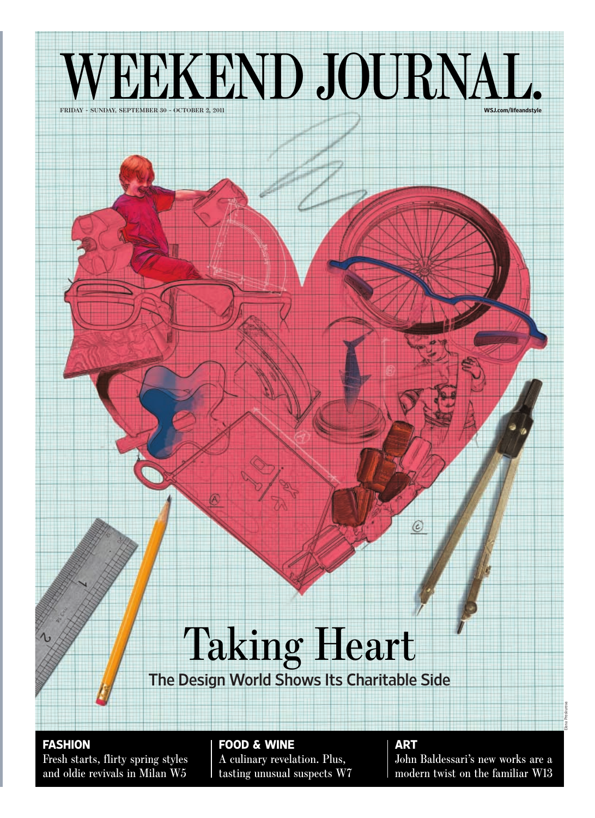# WEEKEND JOURNAL. **FRIDAY - SUNDAY, SEPTEMBER 30 - OCTOBER 2, 2011WSJ.com/lifeandstyle**  $\epsilon$

## Taking Heart

**The Design World Shows Its Charitable Side**

**FASHION**

Fresh starts, flirty spring styles and oldie revivals in Milan W5

**FOOD & WINE**

A culinary revelation. Plus, tasting unusual suspects W7 **ART**

John Baldessari's new works are a modern twist on the familiar W13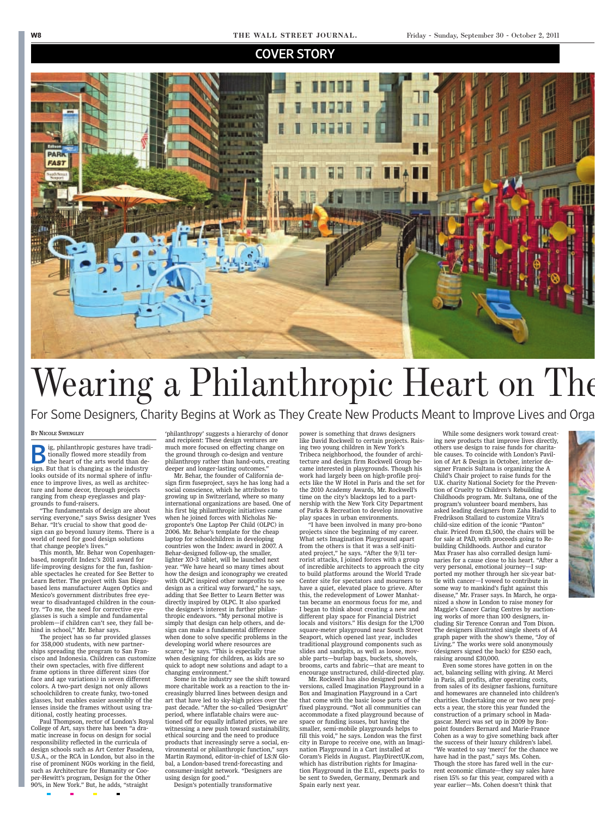### **COVER STORY**



## Wearing a Philanthropic Heart on The

For Some Designers, Charity Begins at Work as They Create New Products Meant to Improve Lives and Orga

#### **BY NICOLE SWENGLEY**

**B**ig, philanthropic gestures have traditionally flowed more steadily from<br>the heart of the arts world than de-<br>sign But that is changing as the industry tionally flowed more steadily from sign. But that is changing as the industry looks outside of its normal sphere of influence to improve lives, as well as architecture and home decor, through projects ranging from cheap eyeglasses and playgrounds to fund-raisers.

"The fundamentals of design are about serving everyone," says Swiss designer Yves Behar. "It's crucial to show that good design can go beyond luxury items. There is a world of need for good design solutions that change people's lives."

This month, Mr. Behar won Copenhagenbased, nonprofit Index:'s 2011 award for life-improving designs for the fun, fashionable spectacles he created for See Better to Learn Better. The project with San Diegobased lens manufacturer Augen Optics and Mexico's government distributes free eyewear to disadvantaged children in the country. "To me, the need for corrective eyeglasses is such a simple and fundamental problem—if children can't see, they fall behind in school," Mr. Behar says.

The project has so far provided glasses for 358,000 students, with new partnerships spreading the program to San Francisco and Indonesia. Children can customize their own spectacles, with five different frame options in three different sizes (for face and age variations) in seven different colors. A two-part design not only allows schoolchildren to create funky, two-toned glasses, but enables easier assembly of the lenses inside the frames without using traditional, costly heating processes.

Paul Thompson, rector of London's Royal College of Art, says there has been "a dramatic increase in focus on design for social responsibility reflected in the curricula of design schools such as Art Center Pasadena, U.S.A., or the RCA in London, but also in the rise of prominent NGOs working in the field, such as Architecture for Humanity or Cooper-Hewitt's program, Design for the Other 90%, in New York." But, he adds, "straight

'philanthropy' suggests a hierarchy of donor and recipient: These design ventures are much more focused on effecting change on the ground through co-design and venture philanthropy rather than hand-outs, creating deeper and longer-lasting outcomes."

Mr. Behar, the founder of California design firm fuseproject, says he has long had a social conscience, which he attributes to growing up in Switzerland, where so many international organizations are based. One of his first big philanthropic initiatives came when he joined forces with Nicholas Negroponte's One Laptop Per Child (OLPC) in 2006. Mr. Behar's template for the cheap laptop for schoolchildren in developing countries won the Index: award in 2007. A Behar-designed follow-up, the smaller, lighter XO-3 tablet, will be launched next year. "We have heard so many times about how the design and iconography we created with OLPC inspired other nonprofits to see design as a critical way forward," he says, adding that See Better to Learn Better was directly inspired by OLPC. It also sparked the designer's interest in further philanthropic endeavors. "My personal motive is simply that design can help others, and design can make a fundamental difference when done to solve specific problems in the developing world where resources are scarce," he says. "This is especially true when designing for children, as kids are so quick to adopt new solutions and adapt to a changing environment."

Some in the industry see the shift toward more charitable work as a reaction to the increasingly blurred lines between design and art that have led to sky-high prices over the past decade. "After the so-called 'DesignArt' period, where inflatable chairs were auctioned off for equally inflated prices, we are witnessing a new push toward sustainability, ethical sourcing and the need to produce products that increasingly serve a social, environmental or philanthropic function," says Martin Raymond, editor-in-chief of LS:N Global, a London-based trend-forecasting and consumer-insight network. "Designers are using design for good."

Design's potentially transformative

power is something that draws designers like David Rockwell to certain projects. Raising two young children in New York's

Tribeca neighborhood, the founder of architecture and design firm Rockwell Group became interested in playgrounds. Though his work had largely been on high-profile projects like the W Hotel in Paris and the set for the 2010 Academy Awards, Mr. Rockwell's time on the city's blacktops led to a partnership with the New York City Department of Parks & Recreation to develop innovative play spaces in urban environments.

"I have been involved in many pro-bono projects since the beginning of my career. What sets Imagination Playground apart from the others is that it was a self-initiated project," he says. "After the 9/11 terrorist attacks, I joined forces with a group of incredible architects to approach the city to build platforms around the World Trade Center site for spectators and mourners to have a quiet, elevated place to grieve. After this, the redevelopment of Lower Manhattan became an enormous focus for me, and I began to think about creating a new and different play space for Financial District locals and visitors." His design for the 1,700 square-meter playground near South Street Seaport, which opened last year, includes traditional playground components such as slides and sandpits, as well as loose, movable parts—burlap bags, buckets, shovels, brooms, carts and fabric—that are meant to encourage unstructured, child-directed play.

Mr. Rockwell has also designed portable versions, called Imagination Playground in a Box and Imagination Playground in a Cart that come with the basic loose parts of the fixed playground. "Not all communities can accommodate a fixed playground because of space or funding issues, but having the smaller, semi-mobile playgrounds helps to fill this void," he says. London was the first city in Europe to receive one, with an Imagination Playground in a Cart installed at Coram's Fields in August. PlayDirectUK.com, which has distribution rights for Imagination Playground in the E.U., expects packs to be sent to Sweden, Germany, Denmark and Spain early next year.

While some designers work toward creating new products that improve lives directly, others use design to raise funds for charitable causes. To coincide with London's Pavilion of Art & Design in October, interior designer Francis Sultana is organizing the A Child's Chair project to raise funds for the U.K. charity National Society for the Prevention of Cruelty to Children's Rebuilding Childhoods program. Mr. Sultana, one of the program's volunteer board members, has asked leading designers from Zaha Hadid to Fredrikson Stallard to customize Vitra's child-size edition of the iconic "Panton" chair. Priced from £1,500, the chairs will be for sale at PAD, with proceeds going to Rebuilding Childhoods. Author and curator Max Fraser has also corralled design luminaries for a cause close to his heart. "After a very personal, emotional journey—I supported my mother through her six-year battle with cancer—I vowed to contribute in some way to mankind's fight against this disease," Mr. Fraser says. In March, he organized a show in London to raise money for Maggie's Cancer Caring Centres by auctioning works of more than 100 designers, including Sir Terence Conran and Tom Dixon. The designers illustrated single sheets of A4 graph paper with the show's theme, "Joy of Living." The works were sold anonymously (designers signed the back) for £250 each,

Even some stores have gotten in on the act, balancing selling with giving. At Merci in Paris, all profits, after operating costs, from sales of its designer fashions, furniture and homewares are channeled into children's charities. Undertaking one or two new projects a year, the store this year funded the construction of a primary school in Madagascar. Merci was set up in 2009 by Bonpoint founders Bernard and Marie-France Cohen as a way to give something back after the success of their luxury children's label. "We wanted to say 'merci' for the chance we have had in the past," says Ms. Cohen. Though the store has fared well in the current economic climate—they say sales have risen 15% so far this year, compared with a year earlier—Ms. Cohen doesn't think that

raising around £30,000.